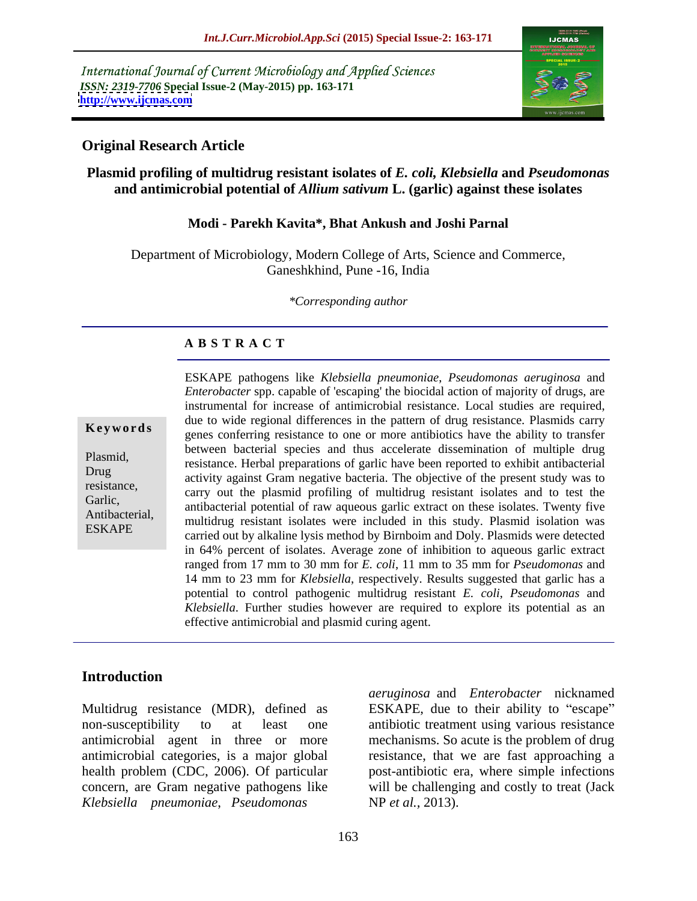International Journal of Current Microbiology and Applied Sciences *ISSN: 2319-7706* **Special Issue-2 (May-2015) pp. 163-171 <http://www.ijcmas.com>**



## **Original Research Article**

## **Plasmid profiling of multidrug resistant isolates of** *E. coli, Klebsiella* **and** *Pseudomonas* **and antimicrobial potential of** *Allium sativum* **L. (garlic) against these isolates**

### **Modi - Parekh Kavita\*, Bhat Ankush and Joshi Parnal**

Department of Microbiology, Modern College of Arts, Science and Commerce, Ganeshkhind, Pune -16, India

*\*Corresponding author*

### **A B S T R A C T**

ESKAPE

ESKAPE pathogens like *Klebsiella pneumoniae*, *Pseudomonas aeruginosa* and *Enterobacter spp.* capable of 'escaping' the biocidal action of majority of drugs, are instrumental for increase of antimicrobial resistance.Local studies are required, due to wide regional differences in the pattern of drug resistance. Plasmids carry **Keywords** genes conferring resistance to one or more antibiotics have the ability to transfer between bacterial species and thus accelerate dissemination of multiple drug Plasmid,<br>
resistance. Herbal preparations of garlic have been reported to exhibit antibacterial Drug<br>
activity against Gram negative bacteria. The objective of the present study was to resistance,<br>Carlie carry out the plasmid profiling of multidrug resistant isolates and to test the Garlic,<br>
antibacterial potential of raw aqueous garlic extract on these isolates. Twenty five Antibacterial,<br>
multidrug resistant isolates were included in this study. Plasmid isolation was carried out by alkaline lysis method by Birnboim and Doly. Plasmids were detected in 64% percent of isolates. Average zone of inhibition to aqueous garlic extract ranged from 17 mm to 30 mm for *E. coli*, 11 mm to 35 mm for *Pseudomonas* and 14 mm to 23 mm for *Klebsiella*, respectively. Results suggested that garlic has a potential to control pathogenic multidrug resistant *E. coli*, *Pseudomonas* and *Klebsiella*. Further studies however are required to explore its potential as an effective antimicrobial and plasmid curing agent.

# **Introduction**

Multidrug resistance (MDR), defined as ESKAPE, due to their ability to "escape" non-susceptibility to at least one antibiotic treatment using various resistance antimicrobial agent in three or more mechanisms. So acute is the problem of drug antimicrobial categories, is a major global resistance, that we are fast approaching a health problem (CDC, 2006). Of particular post-antibiotic era, where simple infections concern, are Gram negative pathogens like will be challenging and costly to treat (Jack *Klebsiella pneumoniae*, *Pseudomonas* 

*aeruginosa* and *Enterobacter* nicknamed NP *et al.,* 2013).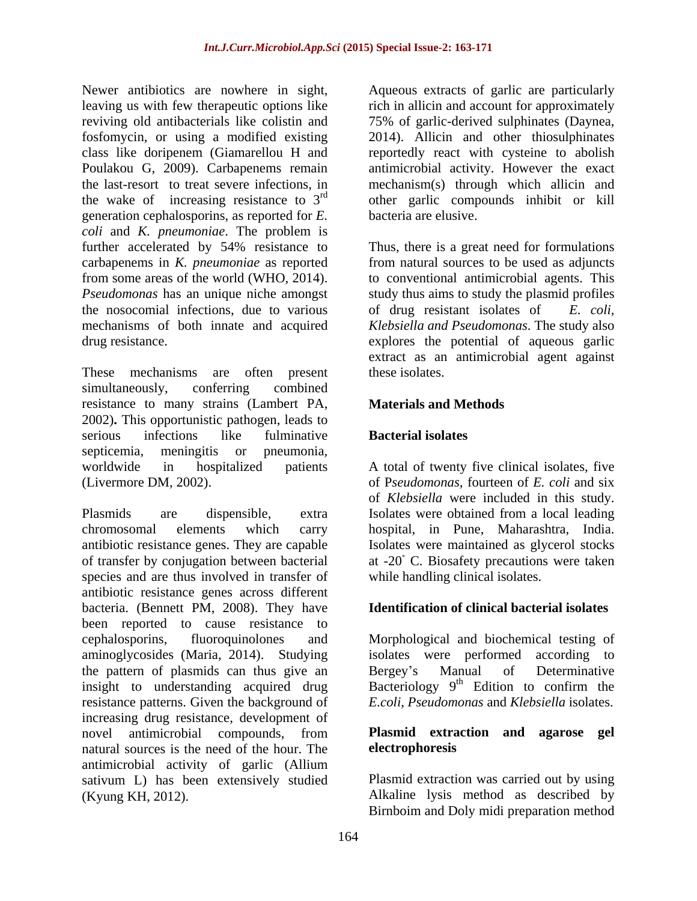Newer antibiotics are nowhere in sight, Aqueous extracts of garlic are particularly leaving us with few therapeutic options like rich in allicin and account for approximately reviving old antibacterials like colistin and 75% of garlic-derived sulphinates(Daynea, fosfomycin, or using a modified existing 2014). Allicin and other thiosulphinates class like doripenem (Giamarellou H and reportedly react with cysteine to abolish Poulakou G, 2009). Carbapenems remain<br>the last-resort to treat severe infections, in the last-resort to treat severe infections, in mechanism(s) through which allicin and the wake of increasing resistance to  $3<sup>rd</sup>$  other garlic compounds inhibit or kill generation cephalosporins, as reported for *E. coli* and *K. pneumoniae*. The problem is further accelerated by 54% resistance to Thus, there is a great need for formulations carbapenems in *K. pneumoniae* as reported from some areas of the world (WHO, 2014). to conventional antimicrobial agents. This *Pseudomonas* has an unique niche amongst study thus aims to study the plasmid profiles the nosocomial infections, due to various of drug resistant isolates of  $E$ , coli. mechanisms of both innate and acquired *Klebsiella and Pseudomonas*. The study also

These mechanisms are often present these isolates. simultaneously, conferring combined resistance to many strains (Lambert PA, 2002)**.** This opportunistic pathogen, leads to serious infections like fulminative **Bacterial isolates** septicemia, meningitis or pneumonia, worldwide in hospitalized patients A total of twenty five clinical isolates, five

chromosomal elements which carry hospital, in Pune, Maharashtra, India. antibiotic resistance genes. They are capable Isolates were maintained as glycerol stocks of transfer by conjugation between bacterial at -20 C. Biosafety precautions were taken species and are thus involved in transfer of antibiotic resistance genes across different bacteria. (Bennett PM, 2008). They have been reported to cause resistance to cephalosporins, fluoroquinolones and Morphological and biochemical testing of aminoglycosides (Maria, 2014). Studying the pattern of plasmids can thus give an Bergey's Manual of Determinative insight to understanding acquired drug resistance patterns. Given the background of increasing drug resistance, development of<br>novel antimicrobial compounds. from novel antimicrobial compounds, from **Plasmid extraction and agarose gel** natural sources is the need of the hour. The **electrophoresis** antimicrobial activity of garlic (Allium sativum L) has been extensively studied

antimicrobial activity. However the exact bacteria are elusive.

drug resistance. explores the potential of aqueous garlic from natural sources to be used as adjuncts of drug resistant *isolates* of extract as an antimicrobial agent against these isolates.

# **Materials and Methods**

# **Bacterial isolates**

(Livermore DM, 2002). of Pseudomonas, fourteen of E. coli and six<br>of Klebsiella were included in this study.<br>Plasmids are dispensible, extra Isolates were obtained from a local leading of P*seudomonas,* fourteen of *E. coli* and six of *Klebsiella* were included in this study. Isolates were obtained from a local leading while handling clinical isolates.

# **Identification of clinical bacterial isolates**

isolates were performed according to Bergey's Manual of Determinative Bacteriology  $9<sup>th</sup>$  Edition to confirm the <sup>th</sup> Edition to confirm the *E.coli*, *Pseudomonas* and *Klebsiella* isolates.

# **Plasmid extraction and agarose gel electrophoresis**

(Kyung KH, 2012). Alkaline lysis method as described by Plasmid extraction was carried out by using Birnboim and Doly midi preparation method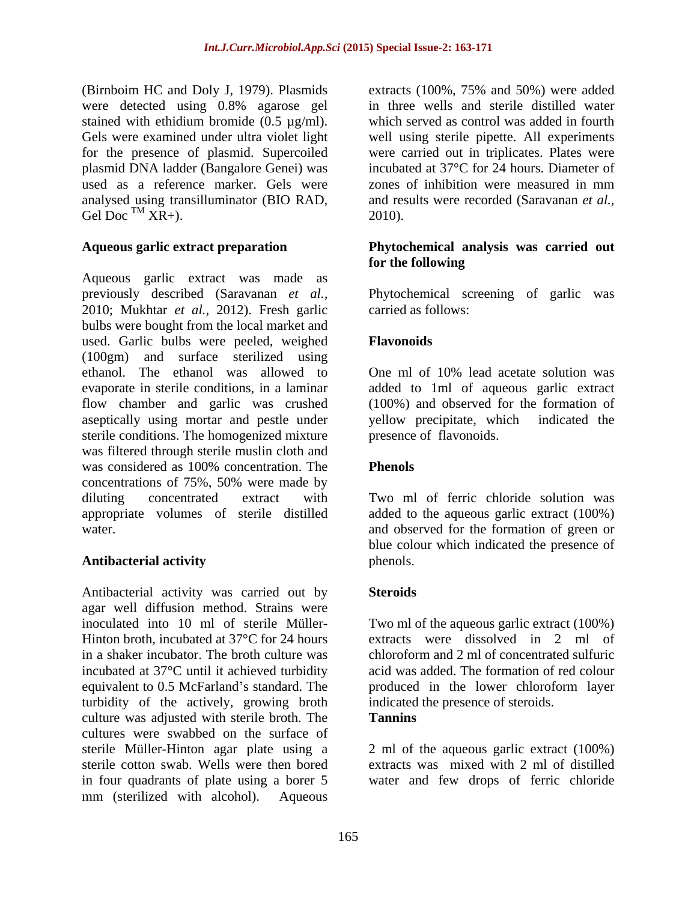(Birnboim HC and Doly J, 1979). Plasmids extracts (100%, 75% and 50%) were added were detected using 0.8% agarose gel stained with ethidium bromide (0.5 µg/ml). Gels were examined under ultra violet light well using sterile pipette. All experiments for the presence of plasmid. Supercoiled were carried out in triplicates. Plates were plasmid DNA ladder (Bangalore Genei) was used as a reference marker. Gels were zones of inhibition were measured in mm analysed using transilluminator (BIO RAD, Gel Doc<sup>TM</sup> XR+). Gel Doc<sup>TM</sup>  $XR$ +). 2010).

Aqueous garlic extract was made as previously described (Saravanan *et al.,* Phytochemical screening of garlic was 2010; Mukhtar *et al.,* 2012). Fresh garlic bulbs were bought from the local market and used. Garlic bulbs were peeled, weighed (100gm) and surface sterilized using ethanol. The ethanol was allowed to One ml of 10% lead acetate solution was evaporate in sterile conditions, in a laminar added to 1ml of aqueous garlic extract flow chamber and garlic was crushed (100%) and observed for the asseptically using mortar and pestle under vellow precipitate, which aseptically using mortar and pestle under yellow precipitate, which indicated the sterile conditions. The homogenized mixture was filtered through sterile muslin cloth and was considered as 100% concentration. The **Phenols** concentrations of 75%, 50% were made by diluting concentrated extract with Two ml of ferric chloride solution was appropriate volumes of sterile distilled added to the aqueous garlic extract (100%) water. and observed for the formation of green or

Antibacterial activity was carried out by agar well diffusion method. Strains were inoculated into 10 ml of sterile Müller- Two ml of the aqueous garlic extract (100%) Hinton broth, incubated at 37°C for 24 hours extracts were dissolved in 2 ml of in a shaker incubator. The broth culture was incubated at 37°C until it achieved turbidity equivalent to 0.5 McFarland's standard. The series produced in the lower chloroform layer turbidity of the actively, growing broth culture was adjusted with sterile broth. The Tannins cultures were swabbed on the surface of sterile Müller-Hinton agar plate using a 2 ml of the aqueous garlic extract (100%) sterile cotton swab. Wells were then bored in four quadrants of plate using a borer 5 water and few drops of ferric chloridemm (sterilized with alcohol). Aqueous

in three wells and sterile distilled water which served as control was added in fourth incubated at 37°C for 24 hours. Diameter of zones of inhibition were measured in mm and results were recorded (Saravanan *et al.,* 2010).

# **Aqueous garlic extract preparation Phytochemical analysis was carried out for the following**

carried as follows:

# **Flavonoids**

One ml of 10% lead acetate solution was (100%) and observed for the formation of yellow precipitate, which indicated the presence of flavonoids.

# **Phenols**

**Antibacterial activity** blue colour which indicated the presence of phenols.

# **Steroids**

chloroform and 2 ml of concentrated sulfuric acid was added. The formation of red colour indicated the presence of steroids. **Tannins**

extracts was mixed with 2 ml of distilled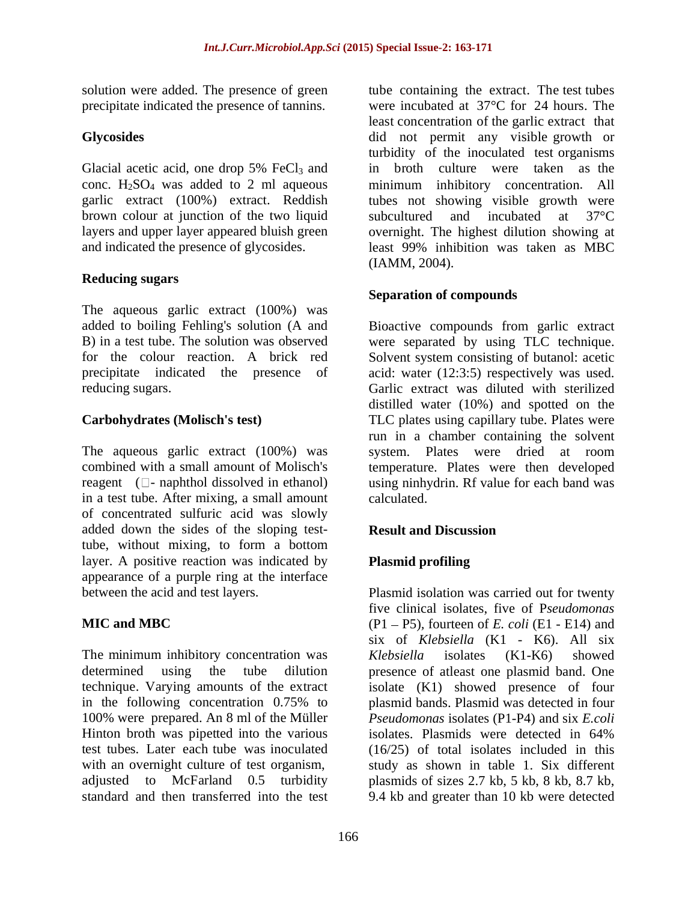solution were added. The presence of green precipitate indicated the presence of tannins.

Glacial acetic acid, one drop 5% FeCl<sub>3</sub> and conc.  $H_2SO_4$  was added to 2 ml aqueous brown colour at junction of the two liquid subcultured and incubated at 37 °C

# **Reducing sugars**

The aqueous garlic extract (100%) was added to boiling Fehling's solution (A and B) in a test tube. The solution was observed were separated by using TLC technique. for the colour reaction. A brick red Solvent system consisting of butanol: acetic precipitate indicated the presence of acid: water (12:3:5) respectively was used.

The aqueous garlic extract (100%) was system. Plates were dried at room combined with a small amount of Molisch's temperature. Plates were then developed reagent ( $\square$ - naphthol dissolved in ethanol) using ninhydrin. Rf value for each band was in a test tube. After mixing, a small amount calculated. of concentrated sulfuric acid was slowly added down the sides of the sloping testtube, without mixing, to form a bottom layer. A positive reaction was indicated by appearance of a purple ring at the interface

The minimum inhibitory concentration was *Klebsiella* isolates (K1-K6) showed determined using the tube dilution presence of atleast one plasmid band. One technique. Varying amounts of the extract isolate (K1) showed presence of four in the following concentration 0.75% to plasmid bands. Plasmid was detected in four 100% were prepared. An 8 ml of the Müller Hinton broth was pipetted into the various isolates. Plasmids were detected in 64% test tubes. Later each tube was inoculated (16/25) of total isolates included in this with an overnight culture of test organism, study as shown in table 1. Six different adjusted to McFarland 0.5 turbidity plasmids of sizes 2.7 kb, 5 kb, 8 kb, 8.7 kb,

**Glycosides**  did not permit any visible growth or conc. H2SO4 was added to 2 ml aqueous minimum inhibitory concentration. All garlic extract (100%) extract. Reddish tubes not showing visible growth were layers and upper layer appeared bluish green overnight. The highest dilution showing at and indicated the presence of glycosides. least 99% inhibition was taken as MBC tube containing the extract. The test tubes were incubated at 37°C for 24 hours. The least concentration of the garlic extract that turbidity of the inoculated test organisms in broth culture were taken as the subcultured and incubated at 37°C (IAMM, 2004).

# **Separation of compounds**

reducing sugars. Garlic extract was diluted with sterilized **Carbohydrates (Molisch's test)** TLC plates using capillary tube. Plates were Bioactive compounds from garlic extract distilled water (10%) and spotted on the run in a chamber containing the solvent system. Plates were dried at room calculated.

# **Result and Discussion**

# **Plasmid profiling**

between the acid and test layers. Plasmid isolation was carried out for twenty **MIC and MBC** (P1 - P5), fourteen of *E. coli* (E1 - E14) and standard and then transferred into the test 9.4 kb and greater than 10 kb were detectedfive clinical isolates, five of P*seudomonas* six of *Klebsiella* (K1 - K6). All six *Klebsiella* isolates (K1-K6) showed plasmid bands. Plasmid was detected in four *Pseudomonas* isolates (P1-P4) and six *E.coli* isolates. Plasmids were detected in 64%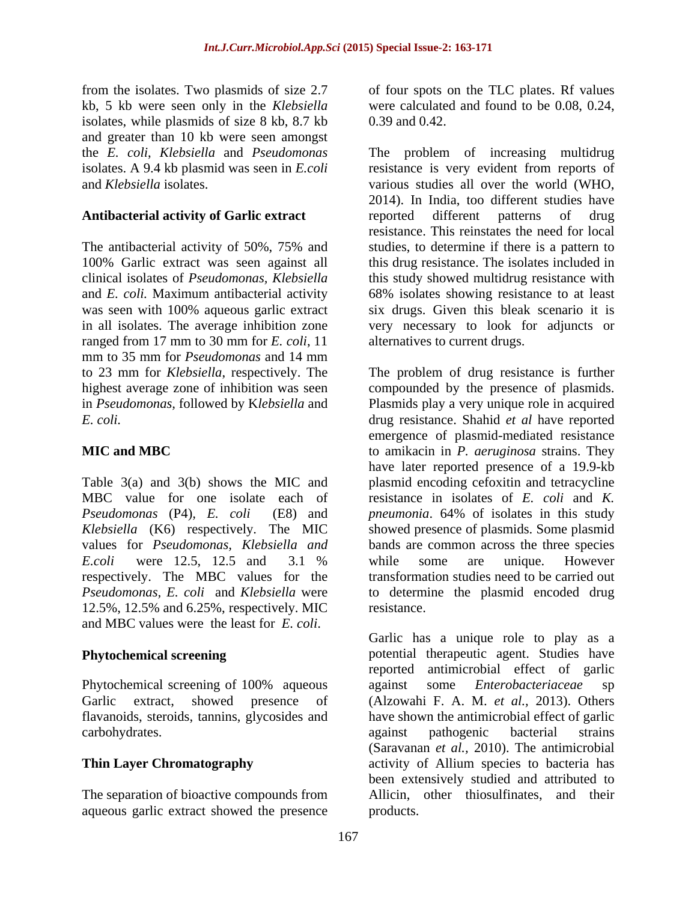from the isolates. Two plasmids of size 2.7 of four spots on the TLC plates. Rf values kb, 5 kb were seen only in the *Klebsiella*  isolates, while plasmids of size 8 kb, 8.7 kb and greater than 10 kb were seen amongst

The antibacterial activity of 50%, 75% and was seen with 100% aqueous garlic extract ranged from 17 mm to 30 mm for *E. coli*, 11 mm to 35 mm for *Pseudomonas* and 14 mm

MBC value for one isolate each of respectively. The MBC values for the 12.5%, 12.5% and 6.25%, respectively. MIC and MBC values were the least for *E. coli*.

carbohydrates. against pathogenic bacterial strains

The separation of bioactive compounds from Allicin, other thiosulfinates, and their aqueous garlic extract showed the presence

were calculated and found to be 0.08, 0.24, 0.39 and 0.42.

the *E. coli*, *Klebsiella* and *Pseudomonas* The problem of increasing multidrug isolates. A 9.4 kb plasmid was seen in *E.coli* resistance is very evident from reports of and *Klebsiella* isolates. various studies all over the world (WHO, **Antibacterial activity of Garlic extract** 100% Garlic extract was seen against all this drug resistance. The isolates included in clinical isolates of *Pseudomonas, Klebsiella* this study showed multidrug resistance with and *E. coli.* Maximum antibacterial activity 68% isolates showing resistance to at least in all isolates. The average inhibition zone very necessary to look for adjuncts or 2014). In India, too different studies have reported different patterns of drug resistance. This reinstates the need for local studies, to determine if there is a pattern to six drugs. Given this bleak scenario it is alternatives to current drugs.

to 23 mm for *Klebsiella*, respectively. The The problem of drug resistance is further highest average zone of inhibition was seen compounded by the presence of plasmids. in *Pseudomonas,* followed by K*lebsiella* and Plasmids play a very unique role in acquired *E. coli.* drug resistance. Shahid *et al* have reported **MIC and MBC** to amikacin in *P. aeruginosa* strains. They Table 3(a) and 3(b) shows the MIC and plasmid encoding cefoxitin and tetracycline *Pseudomonas* (P4)*, E. coli* (E8) and *pneumonia*. 64% of isolates in this study Klebsiella (K6) respectively. The MIC showed presence of plasmids. Some plasmid values for *Pseudomonas, Klebsiella and*  bands are common across the three species *E.coli* were 12.5, 12.5 and 3.1 % while some are unique. However *Pseudomonas, E. coli* and *Klebsiella* were to determine the plasmid encoded drug emergence of plasmid-mediated resistance have later reported presence of a 19.9-kb resistance in isolates of *E. coli* and *K.*  while some are unique. However transformation studies need to be carried out resistance.

**Phytochemical screening** entitled potential therapeutic agent. Studies have Phytochemical screening of 100% aqueous against some *Enterobacteriaceae* sp Garlic extract, showed presence of (Alzowahi F. A. M. *et al.,* 2013). Others flavanoids, steroids, tannins, glycosides and have shown the antimicrobial effect of garlic **Thin Layer Chromatography** activity of Allium species to bacteria has Garlic has a unique role to play as a reported antimicrobial effect of garlic against some *Enterobacteriaceae* sp against pathogenic bacterial strains (Saravanan *et al.,* 2010). The antimicrobial been extensively studied and attributed to Allicin, other thiosulfinates, products.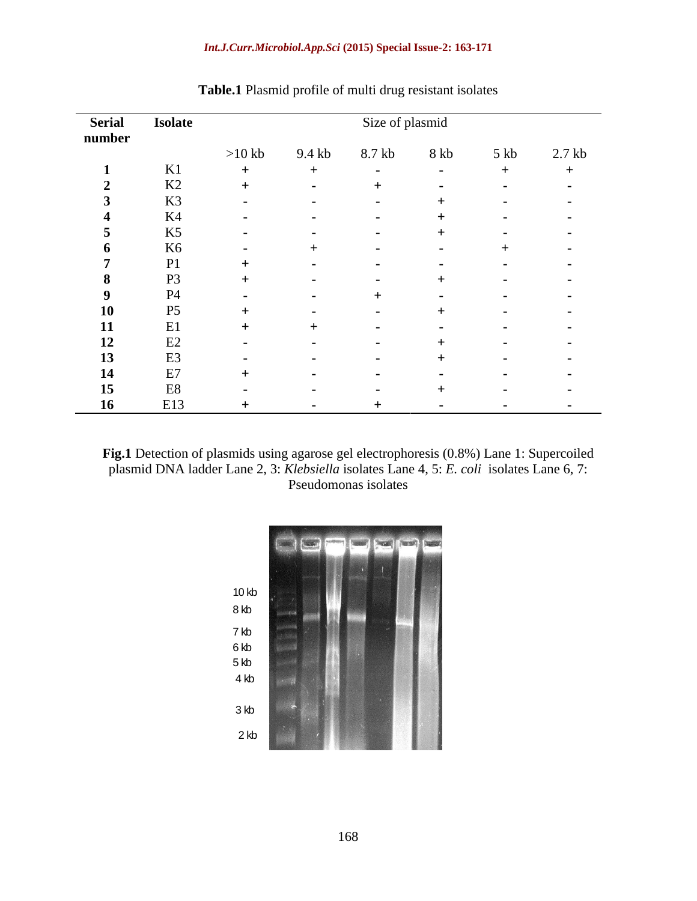### *Int.J.Curr.Microbiol.App.Sci* **(2015) Special Issue-2: 163-171**

| <b>Serial</b> | <b>Isolate</b> | Size of plasmid |                          |        |                          |                          |                          |
|---------------|----------------|-----------------|--------------------------|--------|--------------------------|--------------------------|--------------------------|
| number        |                |                 |                          |        |                          |                          |                          |
|               |                | $>10$ kb        | 9.4 kb                   | 8.7 kb | 8 kb                     | $5$ kb                   | $2.7$ kb                 |
|               | K1             |                 |                          | $\sim$ | $\sim$                   |                          | $^+$                     |
|               | K2             |                 | $\blacksquare$           |        | $\sim$                   | $\overline{\phantom{a}}$ | $\sim$                   |
|               | K3             |                 |                          |        |                          | $\overline{\phantom{a}}$ | $\sim$                   |
|               | K4             | $\sim$          | $\overline{\phantom{a}}$ |        |                          | $\sim$                   | $\sim$                   |
|               | K5             | $\sim$          | $\blacksquare$           |        |                          | $\overline{\phantom{a}}$ | $\sim$                   |
| n.            | K6             | $\sim$          |                          |        |                          |                          | $\sim$                   |
|               | P1             |                 |                          |        | $\overline{\phantom{0}}$ | $\sim$                   | $\sim$                   |
| - 8           | P <sub>3</sub> |                 | $\overline{\phantom{a}}$ |        |                          | $\overline{\phantom{a}}$ | $\sim$                   |
| $\mathbf Q$   | <b>P4</b>      |                 |                          |        |                          |                          | $\sim$                   |
| <b>10</b>     | P5             |                 |                          |        |                          |                          | $\overline{\phantom{a}}$ |
| 11            | E1             |                 |                          |        |                          |                          | $\sim$                   |
| 12            | E2             |                 |                          |        |                          |                          |                          |
| 13            | E3             |                 |                          |        |                          |                          | $\blacksquare$           |
| 14            | E7             |                 |                          |        |                          |                          | $\sim$                   |
| 15            | E8             |                 |                          |        |                          | $\sim$                   | $\sim$                   |
| <b>16</b>     | E13            |                 |                          |        |                          | $\sim$                   | $\sim$                   |

**Table.1** Plasmid profile of multi drug resistant isolates

**Fig.1** Detection of plasmids using agarose gel electrophoresis (0.8%) Lane 1: Supercoiled plasmid DNA ladder Lane 2, 3: *Klebsiella* isolates Lane 4, 5: *E. coli* isolates Lane 6, 7: Pseudomonas isolates

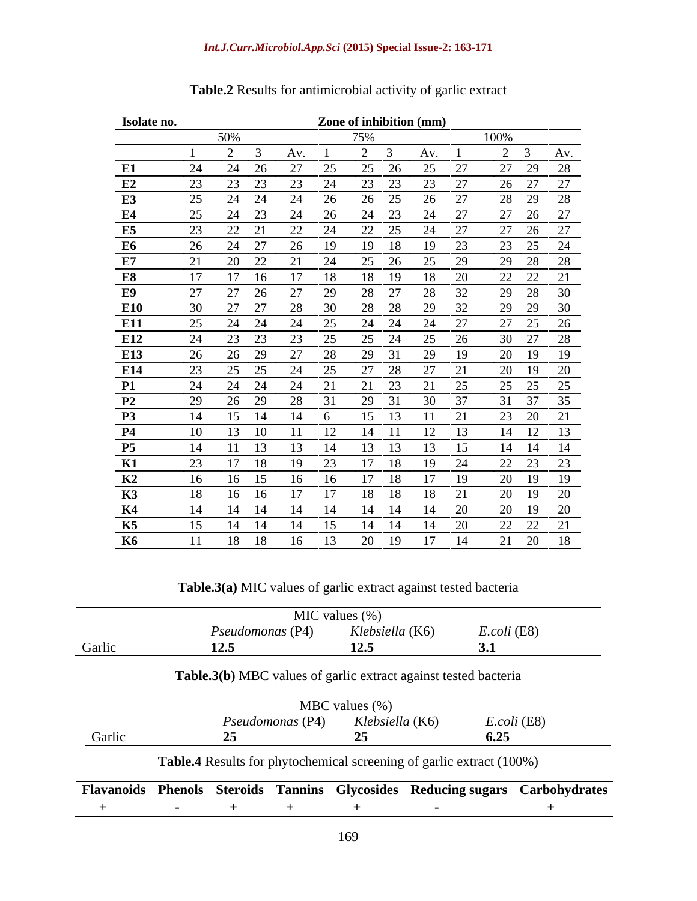### *Int.J.Curr.Microbiol.App.Sci* **(2015) Special Issue-2: 163-171**

| Isolate no.    |                        | Zone of inhibition (mm)           |                             |
|----------------|------------------------|-----------------------------------|-----------------------------|
|                | 50%                    | 75%                               | 100%                        |
|                | 2 3                    | $\overline{2}$<br>Av. 1<br>Av.    | 2 3 Av.                     |
| E1             | $\mathcal{L}$<br>24    | 27<br>25 27<br>25<br>26<br>25     | 27 29 28                    |
| E2             | 23 23                  | 23 23<br>23 27<br>23<br>24        | 26 27 27                    |
| E3             | 25<br>24 24            | 26<br>24<br>26<br>25              | 27<br>28 29 28              |
| E4             | 24 23 24<br>25         | 24 23<br>24<br>26                 | 27<br>27 26 27              |
| E5             | 22 21                  | 22<br>22 25 24 27<br>24           | 27 26 27                    |
| E6             | 24 27<br>26            | 19<br>26<br>18<br>19<br>19        | 23 25 24<br>23              |
| E7             | 20 22 21 24<br>21      | 25 26 25 29                       | 29 28 28                    |
| $\mathbf{E8}$  | 17<br>- 16             | 17<br>- 18<br>18<br>- 19<br>-18 - | 22 22 21<br>20              |
| E9             | 27 26                  | 27<br>28<br>27<br>28<br>29        | 29 28 30                    |
| <b>E10</b>     | 27 27<br>30 I          | 29<br>28 30<br>28<br>28           | 29 29 30<br>32 <sup>o</sup> |
| E11            | 25<br>24 24            | 24 25<br>24 24<br>24 27           | 27 25 26                    |
| E12            |                        | 24<br>25<br>25                    | 30 27 28<br>26              |
| <b>E13</b>     | -29                    | 29<br>29                          | 20 19 19                    |
| E14            | 25                     | 27<br>27<br>24<br>28<br>25        | 20 19 20<br>21              |
| <b>P1</b>      | 24 24                  | 24<br>21<br>23<br>21 25<br>21     | 25 25 25                    |
|                |                        | 28 31                             | $37 \quad 35$<br>- 37       |
| P <sub>2</sub> | 29<br>26 29            | 29<br>30<br>31                    |                             |
| <b>P3</b>      | 15 14                  | - 13<br>$14 \t 6$<br>15<br>- 11   | 23 20 21<br>21              |
| <b>P4</b>      | 13<br>-10-<br>$10^{-}$ | - 12<br>12 13                     | 14 12 13                    |
| <b>P5</b>      | -13-                   | 13<br>- 13<br>- 14                | 14  14  14                  |
| <b>K1</b>      | 17 18                  | 23<br>-18                         | 22 23 23                    |
| $\mathbf{K2}$  | 16 15                  | 17<br>- 18<br>- 16 -              | 20 19 19<br>- 19            |
| K3             | 16 16                  | - 18<br>17                        | 20 19<br>20                 |
| K4             | 14 14                  | 14<br>14<br>14<br>14              | $20^{\circ}$<br>20 19 20    |
| K5             | 14 14                  | 14 15<br>- 14<br>- 14             | 22 22 21<br>20              |
| <b>K6</b>      | 11 18 18 16 13 20      | 19<br>17 14                       | 21 20 18                    |

# **Table.2** Results for antimicrobial activity of garlic extract

**Table.3(a)** MIC values of garlic extract against tested bacteria

|        | MIC values $(\%)$                                                            |                   |                |  |  |
|--------|------------------------------------------------------------------------------|-------------------|----------------|--|--|
|        | <i>Pseudomonas</i> (P4)                                                      | Klebsiella (K6)   | E.coli (E8)    |  |  |
| Garlic | 12.5                                                                         | 12.5              | 3.1            |  |  |
|        | Table.3(b) MBC values of garlic extract against tested bacteria              |                   |                |  |  |
|        |                                                                              | MBC values $(\%)$ |                |  |  |
|        | Pseudomonas (P4)                                                             | Klebsiella (K6)   | $E. coli$ (E8) |  |  |
| Garlic |                                                                              |                   | 6.25           |  |  |
|        | Table.4 Results for phytochemical screening of garlic extract (100%)         |                   |                |  |  |
|        | Flavanoids Phenols Steroids Tannins Glycosides Reducing sugars Carbohydrates |                   |                |  |  |
|        |                                                                              |                   |                |  |  |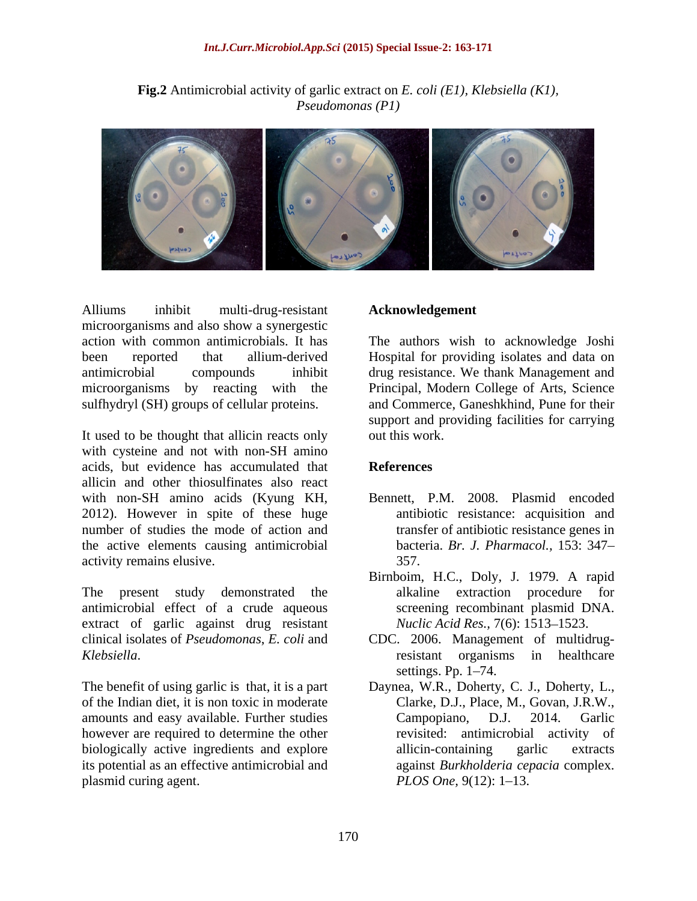**Fig.2** Antimicrobial activity of garlic extract on *E. coli (E1), Klebsiella (K1), Pseudomonas (P1)* 



Alliums inhibit multi-drug-resistant Acknowledgement microorganisms and also show a synergestic action with common antimicrobials. It has The authors wish to acknowledge Joshi been reported that allium-derived Hospital for providing isolates and data on antimicrobial compounds inhibit drug resistance. We thank Management and microorganisms by reacting with the Principal, Modern College of Arts, Science sulfhydryl (SH) groups of cellular proteins. and Commerce, Ganeshkhind, Pune for their

It used to be thought that allicin reacts only out this work. with cysteine and not with non-SH amino acids, but evidence has accumulated that **References** allicin and other thiosulfinates also react with non-SH amino acids (Kyung KH, 2012). However in spite of these huge number of studies the mode of action and the active elements causing antimicrobial activity remains elusive. 357.

The present study demonstrated the alkaline extraction procedure for antimicrobial effect of a crude aqueous extract of garlic against drug resistant clinical isolates of *Pseudomonas*, *E. coli* and CDC. 2006. Management of multidrug-

of the Indian diet, it is non toxic in moderate amounts and easy available. Further studies Campopiano, D.J. 2014. Garlic however are required to determine the other biologically active ingredients and explore allicin-containing garlic extracts its potential as an effective antimicrobial and plasmid curing agent. PLOS One, 9(12): 1–13.

### **Acknowledgement**

support and providing facilities for carrying out this work.

# **References**

- Bennett, P.M. 2008. Plasmid encoded antibiotic resistance: acquisition and transfer of antibiotic resistance genes in bacteria. *Br. J. Pharmacol.,* 153: 347 357.
- Birnboim, H.C., Doly, J. 1979. A rapid alkaline extraction procedure screening recombinant plasmid DNA. *Nuclic Acid Res., 7(6):* 1513–1523.
- *Klebsiella*.<br> *The benefit of using garlic is that, it is a part Daynea, W.R., Doherty, C. J., Doherty, L.,*<br> *Daynea, W.R., Doherty, C. J., Doherty, L.,* resistant organisms in healthcare settings. Pp.  $1-74$ .
	- Daynea, W.R., Doherty, C. J., Doherty, L., Clarke, D.J., Place, M., Govan, J.R.W., Campopiano, D.J. 2014. Garlic revisited: antimicrobial activity of allicin-containing garlic extracts against *Burkholderia cepacia* complex. *PLOS One,* 9(12): 1–13.